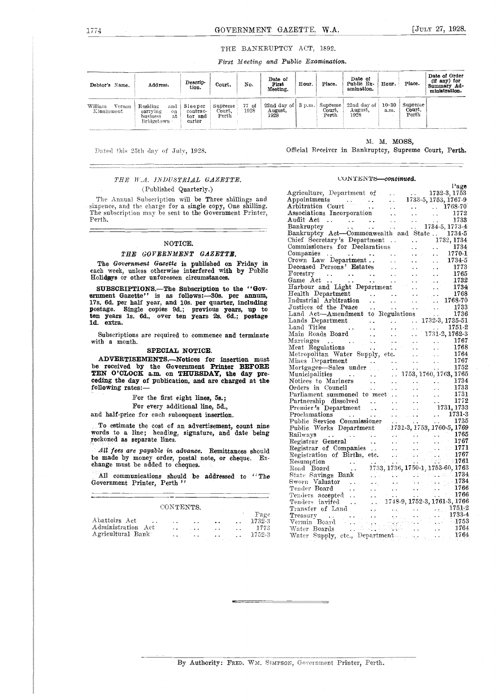#### THE BANKRUPTCY ACT, 1892.

First Meeting and Public Examination.

| Debtor's Name.                  | Address.                                                           | Descrip-<br>tion.                       | Court.                     | No.           | Date of<br>First<br>Meeting.                                | Hour. | Place.                    | Date of<br>Public Ex-<br>amination. | Hour.             | Place.                     | Date of Order<br>$(it \text{ any})$ for<br>Summary Ad-<br>ministration. |
|---------------------------------|--------------------------------------------------------------------|-----------------------------------------|----------------------------|---------------|-------------------------------------------------------------|-------|---------------------------|-------------------------------------|-------------------|----------------------------|-------------------------------------------------------------------------|
| William<br>Vernon<br>Kinninmont | Residing<br>and<br>carrying<br>on.<br>business<br>аt<br>Bridgetown | Sleeper<br>contrac<br>tor and<br>carter | Supreme<br>Court.<br>Perth | 77 of<br>1928 | 22nd day of $\vert 3 \text{ p.m.} \vert$<br>August,<br>1928 |       | Supreme<br>Court<br>Perth | 22nd day of<br>August,<br>1928      | $10 - 30$<br>3.m. | Supreme<br>Court,<br>Perth |                                                                         |

Dated this 25th day of July, 1928.

#### THE W.A. INDUSTRIAL GAZETTE. (Published Quarterly.)

The Annual Subscription will be Three shillings and sixpence, and the charge for a single copy, One shilling.<br>The subscription may be sent to the Government Printer, Perth.

#### NOTICE.

#### THE GOVERNMENT GAZETTE.

The Government Gazette is published on Friday in each week, unless otherwise interfered with by Public Holidays or other unforeseen circumstances.

SUBSCRIPTIONS. The Subscription to the "Government Gazette" is as follows: 308. per annum, 17s. 6d. per half year, and 10s. per quarter, including postage. Single copies 9d.; previous years, up to ten years 1s. 6d., over ten years 2s. 6d.; postage 1d. extra.

Subscriptions are required to commence and terminate with a month.

#### SPECIAL NOTICE.

ADVERTISEMENTS.--Notices for insertion must be received by the Government Printer BEFORE<br>TEN O'CLOCK a.m. on THURSDAY, the day preceding the day of publication, and are charged at the following rates:-

For the first eight lines, 5s.;

For every additional line, 5d.,

and half-price for each subsequent insertion

To estimate the cost of an advertisement, count nine words to a line; heading, signature, and date being reckoned as separate lines.

All fees are payable in advance. Remittances should be made by money order, postal note, or cheque. Ex-<br>change must be added to cheques.

All communications should be addressed to "The Government Printer, Perth<sup>"</sup>

| CONTENTS.          |     |  |                      |  |                |  |  |  |
|--------------------|-----|--|----------------------|--|----------------|--|--|--|
| Abattoirs Act      |     |  | $\ddot{\phantom{1}}$ |  | Page<br>1732-3 |  |  |  |
| Administration Act | . . |  |                      |  | 1773           |  |  |  |
| Agricultural Bank  | . . |  |                      |  | 1752-3         |  |  |  |

#### M. M. MOSS,

Official Receiver in Bankruptcy, Supreme Court, Perth.

#### CONTENTS-continued.

|                                                                                                    |                                   |                        |                                 | rage               |
|----------------------------------------------------------------------------------------------------|-----------------------------------|------------------------|---------------------------------|--------------------|
| Agriculture, Department of -                                                                       |                                   |                        | 1732-3, 1753                    |                    |
| ${\tt Appendix}$                                                                                   | . .                               |                        | 1733-5, 1753, 1767-9            |                    |
| $\widetilde{A}$ rbitration Court                                                                   |                                   |                        | $\sim 10^{-1}$                  | 1768-70            |
| Associations Incorporation                                                                         |                                   |                        |                                 | 1772               |
| Audit Act<br>$\sim$ $\sim$<br>$\sim 10^{11}$ m $^{-1}$ m $^{-1}$ .<br>$\ddot{\phantom{1}}$         |                                   |                        | i<br>Berta                      | 1733               |
| Bankruptcy<br>$\ddot{\phantom{a}}$                                                                 |                                   |                        | 1734-5, 1773-4                  |                    |
| $\sim \infty$<br>Bankruptcy Act-Commonwealth and State 1734-5                                      |                                   |                        |                                 |                    |
| Chief Secretary's Department                                                                       | $\ddot{\phantom{a}}$              | $\ddot{\phantom{0}}$   |                                 | 1732, 1734         |
| Commissioners for Declarations                                                                     |                                   |                        |                                 | 1734               |
| Companies                                                                                          |                                   | a a contra             |                                 | 1770-1             |
| Companies<br>Crown Law Department                                                                  |                                   |                        |                                 | 1734-5             |
| Deceased Persons' Estates                                                                          |                                   |                        | $\ddotsc$                       | 1773               |
| ${\rm Forestry}$                                                                                   |                                   | $\ddot{\phantom{1}}$   | $\ddot{\phantom{1}}$            | 1765               |
| $\ddotsc$<br>Game Act                                                                              |                                   |                        |                                 | 1732               |
| Harbour and Light Department                                                                       | μ.                                |                        |                                 | 1734               |
| Health Department                                                                                  |                                   |                        |                                 | -1768              |
| Industrial Arbitration                                                                             |                                   |                        |                                 | 1768-70            |
|                                                                                                    |                                   |                        |                                 | 1733               |
| Justices of the Peace<br>$\sim$ $\sim$                                                             |                                   |                        |                                 | 1736               |
| Land Act-Amendment to Regulations                                                                  |                                   |                        | 1732-3, 1735-51                 |                    |
| Lands Department<br>Land Titles                                                                    | $\ddot{\phantom{0}}$              | $\sim 10^{-1}$         |                                 | 1751-2             |
| Main Roads Board                                                                                   |                                   | $\ddot{\phantom{1}}$ . | 1731-2, 1762-3                  |                    |
|                                                                                                    |                                   |                        |                                 | 1767               |
| Marriages<br>Meat Regulations                                                                      |                                   |                        |                                 | 1768               |
| Metropolitan Water Supply, etc.                                                                    | . L                               |                        |                                 | 1764               |
| Mines Department                                                                                   |                                   | $\sim$ $\sim$          | L.                              | 1767               |
| Mortgages—Sales under                                                                              | $\ddot{\phantom{0}}$              |                        | $\ddot{\phantom{a}}$            | 1752               |
| Municipalities                                                                                     |                                   |                        | $\ldots$ 1753, 1760, 1763, 1765 |                    |
| $\sim 100$ km $^{-1}$<br>Notices to Mariners                                                       |                                   |                        |                                 | 1734               |
| Orders in Council                                                                                  |                                   |                        |                                 | 1733               |
| Parliament summoned to meet                                                                        |                                   |                        |                                 | 1731               |
|                                                                                                    |                                   |                        | . .                             | $^{\circ}$ 1772    |
| Partnership dissolved                                                                              | $\sim$ $\sim$                     |                        | $\ddotsc$                       | 1731, 1733         |
| Premier's Department                                                                               |                                   | $\sim$ $\sim$          |                                 | 1731-3             |
| Proclamations<br>Public Service Commissioner<br>Public Works Department 1731-3, 1753, 1760-5, 1769 |                                   |                        | $\sim 10$                       |                    |
|                                                                                                    |                                   |                        |                                 |                    |
|                                                                                                    |                                   |                        |                                 | 1765               |
| Railways<br>$\sim$ $\sim$ $\sim$<br>÷.                                                             |                                   |                        |                                 | 1767               |
| Registrar General                                                                                  |                                   |                        |                                 | $-1771$            |
| Registrar of Companies<br>$\ddotsc$                                                                |                                   |                        | с.                              | 1767               |
| Registration of Births, etc.                                                                       |                                   |                        | $\sim$ 1000 $\pm$ 1761          |                    |
| Resumption<br>Road Board                                                                           | 1733, 1736, 1750-1, 1753-60, 1763 |                        |                                 |                    |
| للمنازل<br>State Savings Bank                                                                      |                                   |                        | $\sim$ 1734 $\,$                |                    |
| Sworn Valuator                                                                                     |                                   |                        |                                 | $-1734$            |
| Tender Board                                                                                       |                                   |                        | $\mathbb{Z}^{\times}$ .         | 1766               |
|                                                                                                    |                                   |                        |                                 | $\therefore$ 1766  |
| Tenders accepted                                                                                   |                                   |                        |                                 |                    |
| Tenders invi <del>f</del> ed<br>$\omega_{\rm{max}}$<br>$\ddotsc$                                   | 1748-9, 1752-3, 1761-3, 1766      |                        |                                 |                    |
| Transfer of Land                                                                                   |                                   |                        |                                 | $1751-2$<br>1733-4 |
| Treasury<br>÷÷.                                                                                    |                                   |                        |                                 | $-1753$            |
| Vermin Board                                                                                       |                                   |                        |                                 | 1764               |
| Water Boards                                                                                       |                                   |                        | $\sim$ $\sim$                   | 1764               |
| Water Supply, etc., Department                                                                     |                                   | ngels.                 | $\sim 10^{-1}$                  |                    |

By Authority: FRED. WM. SIMPSON, Government Printer, Perth.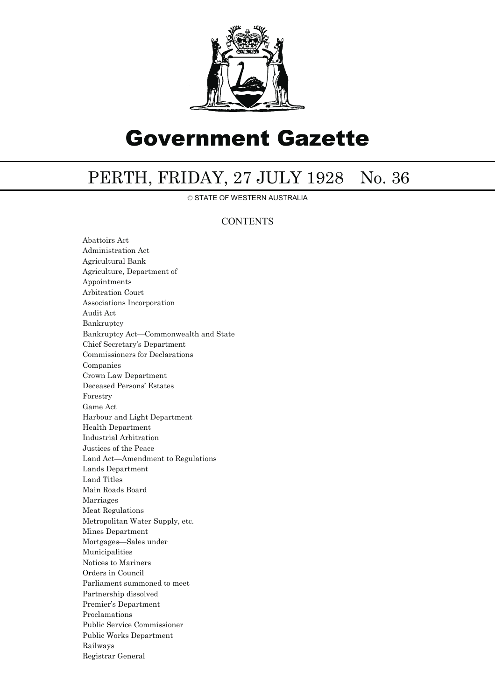

# Government Gazette

## PERTH, FRIDAY, 27 JULY 1928 No. 36

© STATE OF WESTERN AUSTRALIA

### **CONTENTS**

Abattoirs Act Administration Act Agricultural Bank Agriculture, Department of Appointments Arbitration Court Associations Incorporation Audit Act Bankruptcy Bankruptcy Act—Commonwealth and State Chief Secretary's Department Commissioners for Declarations Companies Crown Law Department Deceased Persons' Estates Forestry Game Act Harbour and Light Department Health Department Industrial Arbitration Justices of the Peace Land Act—Amendment to Regulations Lands Department Land Titles Main Roads Board Marriages Meat Regulations Metropolitan Water Supply, etc. Mines Department Mortgages—Sales under Municipalities Notices to Mariners Orders in Council Parliament summoned to meet Partnership dissolved Premier's Department Proclamations Public Service Commissioner Public Works Department Railways Registrar General